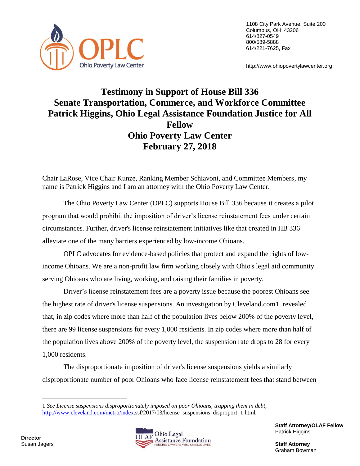

1108 City Park Avenue, Suite 200 Columbus, OH 43206 614/827-0549 800/589-5888 614/221-7625, Fax

http://www.ohiopovertylawcenter.org

## **Testimony in Support of House Bill 336 Senate Transportation, Commerce, and Workforce Committee Patrick Higgins, Ohio Legal Assistance Foundation Justice for All Fellow Ohio Poverty Law Center February 27, 2018**

Chair LaRose, Vice Chair Kunze, Ranking Member Schiavoni, and Committee Members, my name is Patrick Higgins and I am an attorney with the Ohio Poverty Law Center.

The Ohio Poverty Law Center (OPLC) supports House Bill 336 because it creates a pilot program that would prohibit the imposition of driver's license reinstatement fees under certain circumstances. Further, driver's license reinstatement initiatives like that created in HB 336 alleviate one of the many barriers experienced by low-income Ohioans.

OPLC advocates for evidence-based policies that protect and expand the rights of lowincome Ohioans. We are a non-profit law firm working closely with Ohio's legal aid community serving Ohioans who are living, working, and raising their families in poverty.

Driver's license reinstatement fees are a poverty issue because the poorest Ohioans see the highest rate of driver's license suspensions. An investigation by Cleveland.com1 revealed that, in zip codes where more than half of the population lives below 200% of the poverty level, there are 99 license suspensions for every 1,000 residents. In zip codes where more than half of the population lives above 200% of the poverty level, the suspension rate drops to 28 for every 1,000 residents.

The disproportionate imposition of driver's license suspensions yields a similarly disproportionate number of poor Ohioans who face license reinstatement fees that stand between

 $\overline{a}$ 



**Staff Attorney/OLAF Fellow** Patrick Higgins

Graham Bowman

<sup>1</sup> *See License suspensions disproportionately imposed on poor Ohioans, trapping them in debt*, [http://www.cleveland.com/metro/index.](http://www.cleveland.com/metro/index)ssf/2017/03/license\_suspensions\_disproport\_1.html.